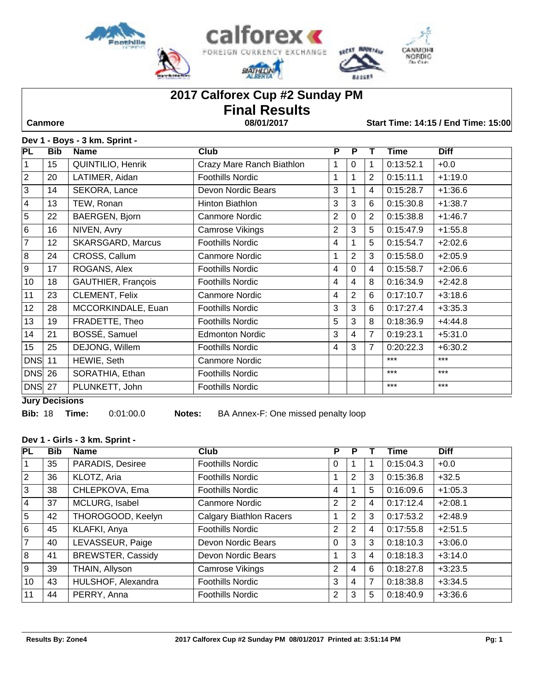

# **2017 Calforex Cup #2 Sunday PM Final Results**

 **Canmore 08/01/2017 Start Time: 14:15 / End Time: 15:00**

## **Dev 1 - Boys - 3 km. Sprint -**

| <b>PL</b>      | <b>Bib</b> | <b>Name</b>              | <b>Club</b>               | $\overline{P}$ | P              |                | Time      | <b>Diff</b> |
|----------------|------------|--------------------------|---------------------------|----------------|----------------|----------------|-----------|-------------|
| 1              | 15         | <b>QUINTILIO, Henrik</b> | Crazy Mare Ranch Biathlon | 1              | $\Omega$       | 1              | 0:13:52.1 | $+0.0$      |
| $\overline{2}$ | 20         | LATIMER, Aidan           | <b>Foothills Nordic</b>   | 1              | 1              | 2              | 0:15:11.1 | $+1:19.0$   |
| $\mathbf{3}$   | 14         | SEKORA, Lance            | Devon Nordic Bears        | 3              |                | 4              | 0:15:28.7 | $+1:36.6$   |
| $\overline{4}$ | 13         | TEW, Ronan               | Hinton Biathlon           | 3              | 3              | 6              | 0:15:30.8 | $+1:38.7$   |
| $\overline{5}$ | 22         | BAERGEN, Bjorn           | <b>Canmore Nordic</b>     | $\overline{2}$ | $\Omega$       | 2              | 0:15:38.8 | $+1:46.7$   |
| 6              | 16         | NIVEN, Avry              | Camrose Vikings           | $\overline{2}$ | 3              | 5              | 0:15:47.9 | $+1:55.8$   |
| $\overline{7}$ | 12         | <b>SKARSGARD, Marcus</b> | <b>Foothills Nordic</b>   | 4              |                | 5              | 0:15:54.7 | $+2:02.6$   |
| 8              | 24         | CROSS, Callum            | <b>Canmore Nordic</b>     |                | $\overline{2}$ | 3              | 0:15:58.0 | $+2:05.9$   |
| 9              | 17         | ROGANS, Alex             | <b>Foothills Nordic</b>   | 4              | $\Omega$       | 4              | 0:15:58.7 | $+2:06.6$   |
| 10             | 18         | GAUTHIER, François       | <b>Foothills Nordic</b>   | 4              | 4              | 8              | 0:16:34.9 | $+2:42.8$   |
| 11             | 23         | CLEMENT, Felix           | <b>Canmore Nordic</b>     | 4              | $\overline{2}$ | 6              | 0:17:10.7 | $+3:18.6$   |
| 12             | 28         | MCCORKINDALE, Euan       | <b>Foothills Nordic</b>   | 3              | 3              | 6              | 0:17:27.4 | $+3:35.3$   |
| 13             | 19         | FRADETTE, Theo           | <b>Foothills Nordic</b>   | 5              | 3              | 8              | 0:18:36.9 | $+4:44.8$   |
| 14             | 21         | BOSSÉ, Samuel            | <b>Edmonton Nordic</b>    | 3              | 4              | $\overline{7}$ | 0:19:23.1 | $+5:31.0$   |
| 15             | 25         | DEJONG, Willem           | <b>Foothills Nordic</b>   | $\overline{4}$ | 3              | $\overline{7}$ | 0:20:22.3 | $+6:30.2$   |
| <b>DNS</b>     | 11         | HEWIE, Seth              | <b>Canmore Nordic</b>     |                |                |                | $***$     | $***$       |
| $DNS$ 26       |            | SORATHIA, Ethan          | Foothills Nordic          |                |                |                | $***$     | $***$       |
| <b>DNS</b> 27  |            | PLUNKETT, John           | <b>Foothills Nordic</b>   |                |                |                | $***$     | $***$       |

**Jury Decisions**

**Bib:** 18 **Time:** 0:01:00.0 **Notes:** BA Annex-F: One missed penalty loop

### **Dev 1 - Girls - 3 km. Sprint -**

| PL             | <b>Bib</b> | <b>Name</b>              | <b>Club</b>                    | P              | Р              |   | Time      | <b>Diff</b> |
|----------------|------------|--------------------------|--------------------------------|----------------|----------------|---|-----------|-------------|
| 1              | 35         | PARADIS, Desiree         | <b>Foothills Nordic</b>        | 0              |                |   | 0:15:04.3 | $+0.0$      |
| $\overline{2}$ | 36         | KLOTZ, Aria              | <b>Foothills Nordic</b>        |                | 2              | 3 | 0:15:36.8 | $+32.5$     |
| 3              | 38         | CHLEPKOVA, Ema           | <b>Foothills Nordic</b>        | $\overline{4}$ |                | 5 | 0:16:09.6 | $+1:05.3$   |
| <u> 4</u>      | 37         | MCLURG, Isabel           | Canmore Nordic                 | 2              | $\overline{2}$ | 4 | 0:17:12.4 | $+2:08.1$   |
| $\overline{5}$ | 42         | THOROGOOD, Keelyn        | <b>Calgary Biathlon Racers</b> |                | $\overline{2}$ | 3 | 0:17:53.2 | $+2:48.9$   |
| l 6            | 45         | KLAFKI, Anya             | <b>Foothills Nordic</b>        | 2              | $\overline{2}$ | 4 | 0:17:55.8 | $+2:51.5$   |
| $\overline{7}$ | 40         | LEVASSEUR, Paige         | Devon Nordic Bears             | 0              | 3              | 3 | 0:18:10.3 | $+3:06.0$   |
| $\overline{8}$ | 41         | <b>BREWSTER, Cassidy</b> | Devon Nordic Bears             |                | 3              | 4 | 0:18:18.3 | $+3:14.0$   |
| ြ ၂            | 39         | THAIN, Allyson           | Camrose Vikings                | 2              | $\overline{4}$ | 6 | 0:18:27.8 | $+3:23.5$   |
| 10             | 43         | HULSHOF, Alexandra       | <b>Foothills Nordic</b>        | 3              | $\overline{4}$ | 7 | 0:18:38.8 | $+3:34.5$   |
| 11             | 44         | PERRY, Anna              | <b>Foothills Nordic</b>        | 2              | 3              | 5 | 0:18:40.9 | $+3:36.6$   |